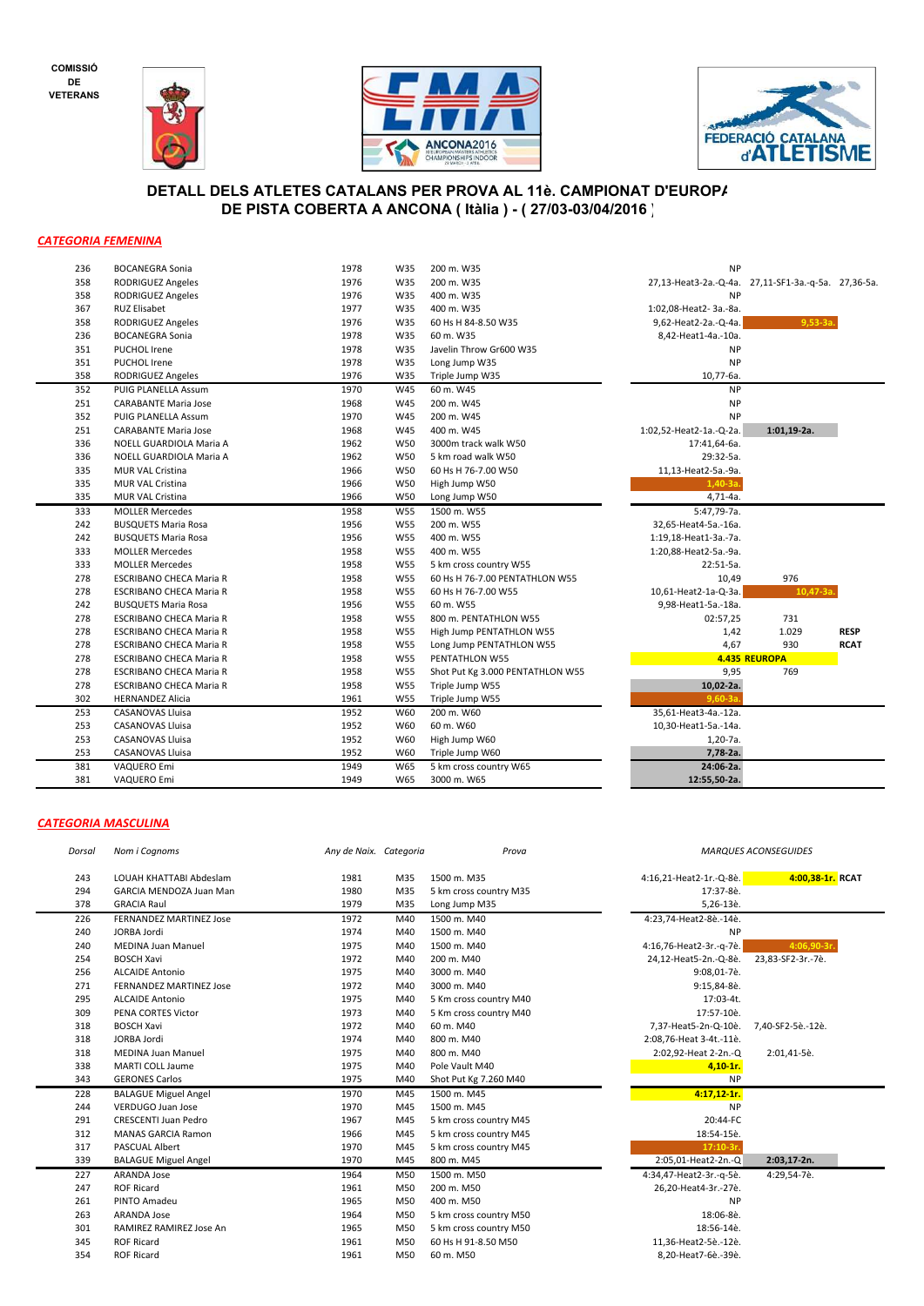**COMISSIÓ DE VETERANS**







## **DETALL DELS ATLETES CATALANS PER PROVA AL 11è. CAMPIONAT D'EUROPA DE PISTA COBERTA A ANCONA ( Itàlia ) - ( 27/03-03/04/2016 )**

## *CATEGORIA FEMENINA*

| 236 | <b>BOCANEGRA Sonia</b>         | 1978 | W35        | 200 m. W35                       | ΝP                                                 |               |             |
|-----|--------------------------------|------|------------|----------------------------------|----------------------------------------------------|---------------|-------------|
| 358 | <b>RODRIGUEZ Angeles</b>       | 1976 | W35        | 200 m. W35                       | 27,13-Heat3-2a.-Q-4a. 27,11-SF1-3a.-q-5a. 27,36-5a |               |             |
| 358 | RODRIGUEZ Angeles              | 1976 | W35        | 400 m. W35                       | <b>NP</b>                                          |               |             |
| 367 | <b>RUZ Elisabet</b>            | 1977 | W35        | 400 m. W35                       | 1:02,08-Heat2-3a.-8a.                              |               |             |
| 358 | <b>RODRIGUEZ Angeles</b>       | 1976 | W35        | 60 Hs H 84-8.50 W35              | 9,62-Heat2-2a.-Q-4a.                               | $9,53-3a$     |             |
| 236 | <b>BOCANEGRA Sonia</b>         | 1978 | W35        | 60 m. W35                        | 8,42-Heat1-4a.-10a.                                |               |             |
| 351 | PUCHOL Irene                   | 1978 | W35        | Javelin Throw Gr600 W35          | NP                                                 |               |             |
| 351 | <b>PUCHOL Irene</b>            | 1978 | W35        | Long Jump W35                    | <b>NP</b>                                          |               |             |
| 358 | <b>RODRIGUEZ Angeles</b>       | 1976 | W35        | Triple Jump W35                  | 10,77-6a.                                          |               |             |
| 352 | PUIG PLANELLA Assum            | 1970 | W45        | 60 m. W45                        | <b>NP</b>                                          |               |             |
| 251 | <b>CARABANTE Maria Jose</b>    | 1968 | W45        | 200 m. W45                       | <b>NP</b>                                          |               |             |
| 352 | PUIG PLANELLA Assum            | 1970 | W45        | 200 m. W45                       | <b>NP</b>                                          |               |             |
| 251 | <b>CARABANTE Maria Jose</b>    | 1968 | W45        | 400 m. W45                       | 1:02,52-Heat2-1a.-Q-2a.                            | $1:01,19-2a.$ |             |
| 336 | NOELL GUARDIOLA Maria A        | 1962 | W50        | 3000m track walk W50             | 17:41,64-6a.                                       |               |             |
| 336 | NOELL GUARDIOLA Maria A        | 1962 | W50        | 5 km road walk W50               | 29:32-5a.                                          |               |             |
| 335 | <b>MUR VAL Cristina</b>        | 1966 | W50        | 60 Hs H 76-7.00 W50              | 11,13-Heat2-5a.-9a.                                |               |             |
| 335 | <b>MUR VAL Cristina</b>        | 1966 | W50        | High Jump W50                    | $1,40-3a$                                          |               |             |
| 335 | MUR VAL Cristina               | 1966 | W50        | Long Jump W50                    | $4,71-4a.$                                         |               |             |
| 333 | <b>MOLLER Mercedes</b>         | 1958 | <b>W55</b> | 1500 m. W55                      | 5:47,79-7a.                                        |               |             |
| 242 | <b>BUSQUETS Maria Rosa</b>     | 1956 | W55        | 200 m. W55                       | 32,65-Heat4-5a.-16a.                               |               |             |
| 242 | <b>BUSQUETS Maria Rosa</b>     | 1956 | W55        | 400 m. W55                       | 1:19,18-Heat1-3a.-7a.                              |               |             |
| 333 | <b>MOLLER Mercedes</b>         | 1958 | W55        | 400 m. W55                       | 1:20,88-Heat2-5a.-9a.                              |               |             |
| 333 | <b>MOLLER Mercedes</b>         | 1958 | W55        | 5 km cross country W55           | 22:51-5a.                                          |               |             |
| 278 | <b>ESCRIBANO CHECA Maria R</b> | 1958 | W55        | 60 Hs H 76-7.00 PENTATHLON W55   | 10,49                                              | 976           |             |
| 278 | <b>ESCRIBANO CHECA Maria R</b> | 1958 | W55        | 60 Hs H 76-7.00 W55              | 10,61-Heat2-1a-Q-3a.                               | $10,47-3a$    |             |
| 242 | <b>BUSQUETS Maria Rosa</b>     | 1956 | W55        | 60 m. W55                        | 9,98-Heat1-5a.-18a.                                |               |             |
| 278 | <b>ESCRIBANO CHECA Maria R</b> | 1958 | W55        | 800 m. PENTATHLON W55            | 02:57,25                                           | 731           |             |
| 278 | <b>ESCRIBANO CHECA Maria R</b> | 1958 | W55        | High Jump PENTATHLON W55         | 1,42                                               | 1.029         | <b>RESP</b> |
| 278 | ESCRIBANO CHECA Maria R        | 1958 | W55        | Long Jump PENTATHLON W55         | 4,67                                               | 930           | <b>RCAT</b> |
| 278 | <b>ESCRIBANO CHECA Maria R</b> | 1958 | W55        | PENTATHLON W55                   |                                                    | 4.435 REUROPA |             |
| 278 | <b>ESCRIBANO CHECA Maria R</b> | 1958 | W55        | Shot Put Kg 3.000 PENTATHLON W55 | 9,95                                               | 769           |             |
| 278 | ESCRIBANO CHECA Maria R        | 1958 | W55        | Triple Jump W55                  | 10,02-2a.                                          |               |             |
| 302 | <b>HERNANDEZ Alicia</b>        | 1961 | W55        | Triple Jump W55                  | $9.60 - 3a$                                        |               |             |
| 253 | <b>CASANOVAS Lluisa</b>        | 1952 | W60        | 200 m. W60                       | 35,61-Heat3-4a.-12a.                               |               |             |
| 253 | <b>CASANOVAS Lluisa</b>        | 1952 | W60        | 60 m. W60                        | 10,30-Heat1-5a.-14a.                               |               |             |
| 253 | <b>CASANOVAS Lluisa</b>        | 1952 | W60        | High Jump W60                    | $1,20-7a.$                                         |               |             |
| 253 | <b>CASANOVAS Lluisa</b>        | 1952 | W60        | Triple Jump W60                  | 7,78-2a.                                           |               |             |
| 381 | VAQUERO Emi                    | 1949 | W65        | 5 km cross country W65           | 24:06-2a.                                          |               |             |
| 381 | VAQUERO Emi                    | 1949 | W65        | 3000 m. W65                      | 12:55,50-2a.                                       |               |             |
|     |                                |      |            |                                  |                                                    |               |             |

## *CATEGORIA MASCULINA*

| Dorsal | Nom i Cognoms                  | Any de Naix. Categoria |     | Prova                  | <b>MARQUE</b>           |
|--------|--------------------------------|------------------------|-----|------------------------|-------------------------|
| 243    | LOUAH KHATTABI Abdeslam        | 1981                   | M35 | 1500 m. M35            | 4:16,21-Heat2-1r.-Q-8è  |
| 294    | GARCIA MENDOZA Juan Man        | 1980                   | M35 | 5 km cross country M35 | 17:37-8è                |
| 378    | <b>GRACIA Raul</b>             | 1979                   | M35 | Long Jump M35          | 5,26-13è                |
| 226    | <b>FERNANDEZ MARTINEZ Jose</b> | 1972                   | M40 | 1500 m. M40            | 4:23,74-Heat2-8è.-14è   |
| 240    | JORBA Jordi                    | 1974                   | M40 | 1500 m. M40            | <b>NF</b>               |
| 240    | <b>MEDINA Juan Manuel</b>      | 1975                   | M40 | 1500 m. M40            | 4:16,76-Heat2-3r.-q-7è. |
| 254    | <b>BOSCH Xavi</b>              | 1972                   | M40 | 200 m. M40             | 24,12-Heat5-2n.-Q-8è.   |
| 256    | <b>ALCAIDE Antonio</b>         | 1975                   | M40 | 3000 m. M40            | 9:08,01-7è              |
| 271    | <b>FERNANDEZ MARTINEZ Jose</b> | 1972                   | M40 | 3000 m. M40            | 9:15,84-8è              |
| 295    | <b>ALCAIDE Antonio</b>         | 1975                   | M40 | 5 Km cross country M40 | 17:03-4t                |
| 309    | PENA CORTES Victor             | 1973                   | M40 | 5 Km cross country M40 | 17:57-10è               |
| 318    | <b>BOSCH Xavi</b>              | 1972                   | M40 | 60 m. M40              | 7,37-Heat5-2n-Q-10è     |
| 318    | JORBA Jordi                    | 1974                   | M40 | 800 m. M40             | 2:08,76-Heat 3-4t.-11è  |
| 318    | <b>MEDINA Juan Manuel</b>      | 1975                   | M40 | 800 m. M40             | 2:02,92-Heat 2-2n.-C    |
| 338    | <b>MARTI COLL Jaume</b>        | 1975                   | M40 | Pole Vault M40         | $4.10 - 1r$             |
| 343    | <b>GERONES Carlos</b>          | 1975                   | M40 | Shot Put Kg 7.260 M40  | <b>NF</b>               |
| 228    | <b>BALAGUE Miguel Angel</b>    | 1970                   | M45 | 1500 m. M45            | $4:17,12-1r$            |
| 244    | VERDUGO Juan Jose              | 1970                   | M45 | 1500 m. M45            | <b>NF</b>               |
| 291    | <b>CRESCENTI Juan Pedro</b>    | 1967                   | M45 | 5 km cross country M45 | 20:44-FC                |
| 312    | <b>MANAS GARCIA Ramon</b>      | 1966                   | M45 | 5 km cross country M45 | 18:54-15è               |
| 317    | PASCUAL Albert                 | 1970                   | M45 | 5 km cross country M45 | $17:10-3r$              |
| 339    | <b>BALAGUE Miguel Angel</b>    | 1970                   | M45 | 800 m. M45             | 2:05,01-Heat2-2n.-C     |
| 227    | <b>ARANDA Jose</b>             | 1964                   | M50 | 1500 m. M50            | 4:34,47-Heat2-3r.-q-5è. |
| 247    | <b>ROF Ricard</b>              | 1961                   | M50 | 200 m. M50             | 26,20-Heat4-3r.-27è     |
| 261    | PINTO Amadeu                   | 1965                   | M50 | 400 m. M50             | <b>NF</b>               |
| 263    | <b>ARANDA Jose</b>             | 1964                   | M50 | 5 km cross country M50 | 18:06-8è                |
| 301    | RAMIREZ RAMIREZ Jose An        | 1965                   | M50 | 5 km cross country M50 | 18:56-14è               |
| 345    | <b>ROF Ricard</b>              | 1961                   | M50 | 60 Hs H 91-8.50 M50    | 11,36-Heat2-5è.-12è     |
| 354    | <b>ROF Ricard</b>              | 1961                   | M50 | 60 m. M50              | 8,20-Heat7-6è.-39è      |
|        |                                |                        |     |                        |                         |

*MARQUES ACONSEGUIDES*

LOUAH KHATTABI Abdeslam 1981 M35 1500 m. M35 4:16,21-Heat2-1r.-Q-8è. **4:00,38-1r. RCAT**

 MEDINA Juan Manuel 1975 M40 1500 m. M40 4:16,76-Heat2-3r.-q-7è. **4:06,90-3r.** 24,12-Heat5-2n.-Q-8è. 23,83-SF2-3r.-7è.<br>9:08,01-7è. 23,83-SF2-3r.-7è.

7,37-Heat5-2n-Q-10è. 7,40-SF2-5è.-12è.

 BALAGUE Miguel Angel 1970 M45 800 m. M45 2:05,01-Heat2-2n.-Q **2:03,17-2n.** 4:34,47-Heat2-3r.-q-5è. 4:29,54-7è.

2:02,92-Heat 2-2n.-Q 2:01,41-5è.